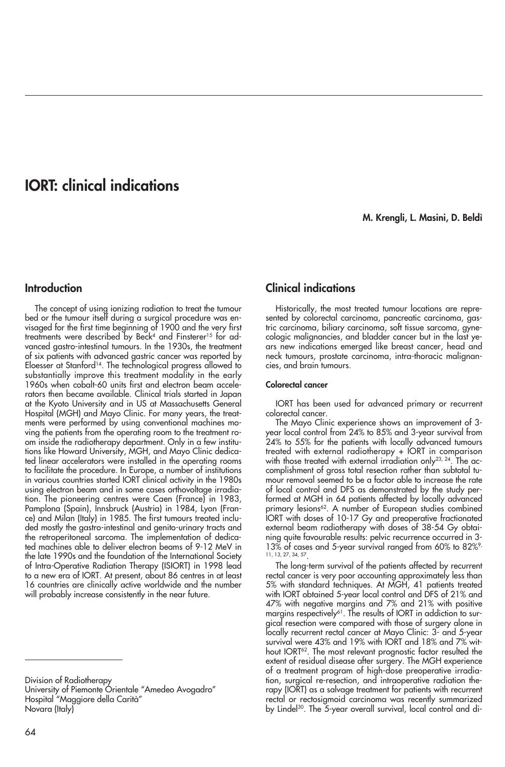# **IORT: clinical indications**

**M. Krengli, L. Masini, D. Beldì**

## **Introduction**

The concept of using ionizing radiation to treat the tumour bed or the tumour itself during a surgical procedure was envisaged for the first time beginning of 1900 and the very first treatments were described by Beck<sup>4</sup> and Finsterer<sup>15</sup> for advanced gastro-intestinal tumours. In the 1930s, the treatment of six patients with advanced gastric cancer was reported by Eloesser at Stanford14. The technological progress allowed to substantially improve this treatment modality in the early 1960s when cobalt-60 units first and electron beam accelerators then became available. Clinical trials started in Japan at the Kyoto University and in US at Massachusetts General Hospital (MGH) and Mayo Clinic. For many years, the treatments were performed by using conventional machines moving the patients from the operating room to the treatment room inside the radiotherapy department. Only in a few institutions like Howard University, MGH, and Mayo Clinic dedicated linear accelerators were installed in the operating rooms to facilitate the procedure. In Europe, a number of institutions in various countries started IORT clinical activity in the 1980s using electron beam and in some cases orthovoltage irradiation. The pioneering centres were Caen (France) in 1983, Pamplona (Spain), Innsbruck (Austria) in 1984, Lyon (France) and Milan (Italy) in 1985. The first tumours treated included mostly the gastro-intestinal and genito-urinary tracts and the retroperitoneal sarcoma. The implementation of dedicated machines able to deliver electron beams of 9-12 MeV in the late 1990s and the foundation of the International Society of Intra-Operative Radiation Therapy (ISIORT) in 1998 lead to a new era of IORT. At present, about 86 centres in at least 16 countries are clinically active worldwide and the number will probably increase consistently in the near future.

Division of Radiotherapy

University of Piemonte Órientale "Amedeo Avogadro" Hospital "Maggiore della Carità" Novara (Italy)

# **Clinical indications**

Historically, the most treated tumour locations are represented by colorectal carcinoma, pancreatic carcinoma, gastric carcinoma, biliary carcinoma, soft tissue sarcoma, gynecologic malignancies, and bladder cancer but in the last years new indications emerged like breast cancer, head and neck tumours, prostate carcinoma, intra-thoracic malignancies, and brain tumours.

## **Colorectal cancer**

IORT has been used for advanced primary or recurrent colorectal cancer.

The Mayo Clinic experience shows an improvement of 3 year local control from 24% to 85% and 3-year survival from 24% to 55% for the patients with locally advanced tumours treated with external radiotherapy + IORT in comparison with those treated with external irradiation only<sup>23, 24</sup>. The accomplishment of gross total resection rather than subtotal tumour removal seemed to be a factor able to increase the rate of local control and DFS as demonstrated by the study performed at MGH in 64 patients affected by locally advanced primary lesions<sup>62</sup>. A number of European studies combined IORT with doses of 10-17 Gy and preoperative fractionated external beam radiotherapy with doses of 38-54 Gy obtaining quite favourable results: pelvic recurrence occurred in 3- 13% of cases and 5-year survival ranged from 60% to 82%<sup>9</sup> 11, 13, 27, 34, 57.

The long-term survival of the patients affected by recurrent rectal cancer is very poor accounting approximately less than 5% with standard techniques. At MGH, 41 patients treated with IORT obtained 5-year local control and DFS of 21% and 47% with negative margins and 7% and 21% with positive margins respectively<sup>61</sup>. The results of IORT in addiction to surgical resection were compared with those of surgery alone in locally recurrent rectal cancer at Mayo Clinic: 3- and 5-year survival were 43% and 19% with IORT and 18% and 7% without IORT<sup>62</sup>. The most relevant prognostic factor resulted the extent of residual disease after surgery. The MGH experience of a treatment program of high-dose preoperative irradiation, surgical re-resection, and intraoperative radiation therapy (IORT) as a salvage treatment for patients with recurrent rectal or rectosigmoid carcinoma was recently summarized by Lindel<sup>30</sup>. The 5-year overall survival, local control and di-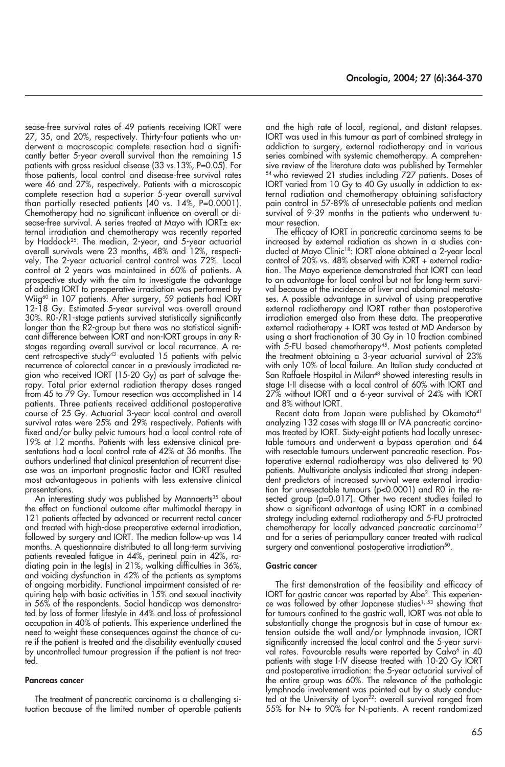sease-free survival rates of 49 patients receiving IORT were 27, 35, and 20%, respectively. Thirty-four patients who underwent a macroscopic complete resection had a significantly better 5-year overall survival than the remaining 15 patients with gross residual disease (33 vs.13%, P=0.05). For those patients, local control and disease-free survival rates were 46 and 27%, respectively. Patients with a microscopic complete resection had a superior 5-year overall survival than partially resected patients (40 vs. 14%, P=0.0001). Chemotherapy had no significant influence on overall or disease-free survival. A series treated at Mayo with IORT± external irradiation and chemotherapy was recently reported by Haddock25. The median, 2-year, and 5-year actuarial overall survivals were 23 months, 48% and 12%, respectively. The 2-year actuarial central control was 72%. Local control at 2 years was maintained in 60% of patients. A prospective study with the aim to investigate the advantage of adding IORT to preoperative irradiation was performed by Wiig<sup>60</sup> in 107 patients. After surgery, 59 patients had IORT 12-18 Gy. Estimated 5-year survival was overall around 30%. R0-/R1-stage patients survived statistically significantly longer than the R2-group but there was no statistical significant difference between IORT and non-IORT groups in any Rstages regarding overall survival or local recurrence. A recent retrospective study<sup>43</sup> evaluated 15 patients with pelvic recurrence of colorectal cancer in a previously irradiated region who received IORT (15-20 Gy) as part of salvage therapy. Total prior external radiation therapy doses ranged from 45 to 79 Gy. Tumour resection was accomplished in 14 patients. Three patients received additional postoperative course of 25 Gy. Actuarial 3-year local control and overall survival rates were 25% and 29% respectively. Patients with fixed and/or bulky pelvic tumours had a local control rate of 19% at 12 months. Patients with less extensive clinical presentations had a local control rate of 42% at 36 months. The authors underlined that clinical presentation of recurrent disease was an important prognostic factor and IORT resulted most advantageous in patients with less extensive clinical presentations.

An interesting study was published by Mannaerts<sup>35</sup> about the effect on functional outcome after multimodal therapy in 121 patients affected by advanced or recurrent rectal cancer and treated with high-dose preoperative external irradiation, followed by surgery and IORT. The median follow-up was 14 months. A questionnaire distributed to all long-term surviving patients revealed fatigue in 44%, perineal pain in 42%, radiating pain in the leg(s) in 21%, walking difficulties in 36%, and voiding dysfunction in 42% of the patients as symptoms of ongoing morbidity. Functional impairment consisted of requiring help with basic activities in 15% and sexual inactivity in 56% of the respondents. Social handicap was demonstrated by loss of former lifestyle in 44% and loss of professional occupation in 40% of patients. This experience underlined the need to weight these consequences against the chance of cure if the patient is treated and the disability eventually caused by uncontrolled tumour progression if the patient is not treated.

#### **Pancreas cancer**

The treatment of pancreatic carcinoma is a challenging situation because of the limited number of operable patients and the high rate of local, regional, and distant relapses. IORT was used in this tumour as part of combined strategy in addiction to surgery, external radiotherapy and in various series combined with systemic chemotherapy. A comprehensive review of the literature data was published by Termehler 54 who reviewed 21 studies including 727 patients. Doses of IORT varied from 10 Gy to 40 Gy usually in addiction to external radiation and chemotherapy obtaining satisfactory pain control in 57-89% of unresectable patients and median survival of 9-39 months in the patients who underwent tumour resection.

The efficacy of IORT in pancreatic carcinoma seems to be increased by external radiation as shown in a studies conducted at Mayo Clinic18: IORT alone obtained a 2-year local control of 20% vs. 48% observed with IORT + external radiation. The Mayo experience demonstrated that IORT can lead to an advantage for local control but not for long-term survival because of the incidence of liver and abdominal metastases. A possible advantage in survival of using preoperative external radiotherapy and IORT rather than postoperative irradiation emerged also from these data. The preoperative external radiotherapy + IORT was tested at MD Anderson by using a short fractionation of 30 Gy in 10 fraction combined with 5-FU based chemotherapy45. Most patients completed the treatment obtaining a 3-year actuarial survival of 23% with only 10% of local failure. An Italian study conducted at San Raffaele Hospital in Milan<sup>48</sup> showed interesting results in stage I-II disease with a local control of 60% with IORT and 27% without IORT and a 6-year survival of 24% with IORT and 8% without IORT.

Recent data from Japan were published by Okamoto<sup>41</sup> analyzing 132 cases with stage III or IVA pancreatic carcinomas treated by IORT. Sixty-eight patients had locally unresectable tumours and underwent a bypass operation and 64 with resectable tumours underwent pancreatic resection. Postoperative external radiotherapy was also delivered to 90 patients. Multivariate analysis indicated that strong independent predictors of increased survival were external irradiation for unresectable tumours (p<0.0001) and R0 in the resected group (p=0.017). Other two recent studies failed to show a significant advantage of using IORT in a combined strategy including external radiotherapy and 5-FU protracted chemotherapy for locally advanced pancreatic carcinoma<sup>17</sup> and for a series of periampullary cancer treated with radical surgery and conventional postoperative irradiation<sup>50</sup>.

#### **Gastric cancer**

The first demonstration of the feasibility and efficacy of IORT for gastric cancer was reported by Abe2. This experience was followed by other Japanese studies<sup>1, 53</sup> showing that for tumours confined to the gastric wall, IORT was not able to substantially change the prognosis but in case of tumour extension outside the wall and/or lymphnode invasion, IORT significantly increased the local control and the 5-year survival rates. Favourable results were reported by Calvo<sup>6</sup> in 40 patients with stage I-IV disease treated with 10-20 Gy IORT and postoperative irradiation: the 5-year actuarial survival of the entire group was 60%. The relevance of the pathologic lymphnode involvement was pointed out by a study conducted at the University of Lyon<sup>22</sup>: overall survival ranged from 55% for N+ to 90% for N-patients. A recent randomized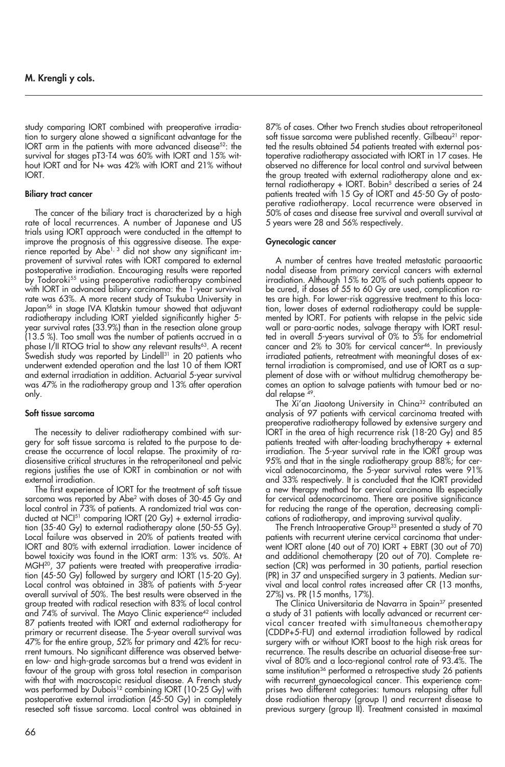study comparing IORT combined with preoperative irradiation to surgery alone showed a significant advantage for the IORT arm in the patients with more advanced disease<sup>52</sup>: the survival for stages pT3-T4 was 60% with IORT and 15% without IORT and for N+ was 42% with IORT and 21% without IORT.

## **Biliary tract cancer**

The cancer of the biliary tract is characterized by a high rate of local recurrences. A number of Japanese and US trials using IORT approach were conducted in the attempt to improve the prognosis of this aggressive disease. The experience reported by Abe<sup>1, 3</sup> did not show any significant improvement of survival rates with IORT compared to external postoperative irradiation. Encouraging results were reported by Todoroki<sup>55</sup> using preoperative radiotherapy combined with IORT in advanced biliary carcinoma: the 1-year survival rate was 63%. A more recent study of Tsukuba University in Japan<sup>56</sup> in stage IVA Klatskin tumour showed that adjuvant radiotherapy including IORT yielded significantly higher 5 year survival rates (33.9%) than in the resection alone group (13.5 %). Too small was the number of patients accrued in a phase I/II RTOG trial to show any relevant results<sup>63</sup>. A recent Swedish study was reported by Lindell<sup>31</sup> in 20 patients who underwent extended operation and the last 10 of them IORT and external irradiation in addition. Actuarial 5-year survival was 47% in the radiotherapy group and 13% after operation only.

## **Soft tissue sarcoma**

The necessity to deliver radiotherapy combined with surgery for soft tissue sarcoma is related to the purpose to decrease the occurrence of local relapse. The proximity of radiosensitive critical structures in the retroperitoneal and pelvic regions justifies the use of IORT in combination or not with external irradiation.

The first experience of IORT for the treatment of soft tissue sarcoma was reported by Abe<sup>2</sup> with doses of 30-45 Gy and local control in 73% of patients. A randomized trial was conducted at NCI<sup>51</sup> comparing IORT (20 Gy) + external irradiation (35-40 Gy) to external radiotherapy alone (50-55 Gy). Local failure was observed in 20% of patients treated with IORT and 80% with external irradiation. Lower incidence of bowel toxicity was found in the IORT arm: 13% vs. 50%. At MGH<sup>20</sup>, 37 patients were treated with preoperative irradiation (45-50 Gy) followed by surgery and IORT (15-20 Gy). Local control was obtained in 38% of patients with 5-year overall survival of 50%. The best results were observed in the group treated with radical resection with 83% of local control and 74% of survival. The Mayo Clinic experience<sup>42</sup> included 87 patients treated with IORT and external radiotherapy for primary or recurrent disease. The 5-year overall survival was 47% for the entire group, 52% for primary and 42% for recurrent tumours. No significant difference was observed between low- and high-grade sarcomas but a trend was evident in favour of the group with gross total resection in comparison with that with macroscopic residual disease. A French study was performed by Dubois<sup>12</sup> combining IORT (10-25 Gy) with postoperative external irradiation (45-50 Gy) in completely resected soft tissue sarcoma. Local control was obtained in 87% of cases. Other two French studies about retroperitoneal soft tissue sarcoma were published recently. Gilbeau<sup>21</sup> reported the results obtained 54 patients treated with external postoperative radiotherapy associated with IORT in 17 cases. He observed no difference for local control and survival between the group treated with external radiotherapy alone and external radiotherapy + IORT. Bobin<sup>5</sup> described a series of 24 patients treated with 15 Gy of IORT and 45-50 Gy of postoperative radiotherapy. Local recurrence were observed in 50% of cases and disease free survival and overall survival at 5 years were 28 and 56% respectively.

## **Gynecologic cancer**

A number of centres have treated metastatic paraaortic nodal disease from primary cervical cancers with external irradiation. Although 15% to 20% of such patients appear to be cured, if doses of 55 to 60 Gy are used, complication rates are high. For lower-risk aggressive treatment to this location, lower doses of external radiotherapy could be supplemented by IORT. For patients with relapse in the pelvic side wall or para-aortic nodes, salvage therapy with IORT resulted in overall 5-years survival of 0% to 5% for endometrial cancer and 2% to 30% for cervical cancer46. In previously irradiated patients, retreatment with meaningful doses of external irradiation is compromised, and use of IORT as a supplement of dose with or without multidrug chemotherapy becomes an option to salvage patients with tumour bed or nodal relapse 49.

The Xi'an Jiaotong University in China<sup>32</sup> contributed an analysis of 97 patients with cervical carcinoma treated with preoperative radiotherapy followed by extensive surgery and IORT in the area of high recurrence risk (18-20 Gy) and 85 patients treated with after-loading brachytherapy + external irradiation. The 5-year survival rate in the IORT group was 95% and that in the single radiotherapy group 88%; for cervical adenocarcinoma, the 5-year survival rates were 91% and 33% respectively. It is concluded that the IORT provided a new therapy method for cervical carcinoma IIb especially for cervical adenocarcinoma. There are positive significance for reducing the range of the operation, decreasing complications of radiotherapy, and improving survival quality.

The French Intraoperative Group<sup>33</sup> presented a study of 70 patients with recurrent uterine cervical carcinoma that underwent IORT alone (40 out of 70) IORT + EBRT (30 out of 70) and additional chemotherapy (20 out of 70). Complete resection (CR) was performed in 30 patients, partial resection (PR) in 37 and unspecified surgery in 3 patients. Median survival and local control rates increased after CR (13 months, 27%) vs. PR (15 months, 17%).

The Clinica Universitaria de Navarra in Spain<sup>37</sup> presented a study of 31 patients with locally advanced or recurrent cervical cancer treated with simultaneous chemotherapy (CDDP+5-FU) and external irradiation followed by radical surgery with or without IORT boost to the high risk areas for recurrence. The results describe an actuarial disease-free survival of 80% and a loco-regional control rate of 93.4%. The same institution<sup>36</sup> performed a retrospective study 26 patients with recurrent gynaecological cancer. This experience comprises two different categories: tumours relapsing after full dose radiation therapy (group I) and recurrent disease to previous surgery (group II). Treatment consisted in maximal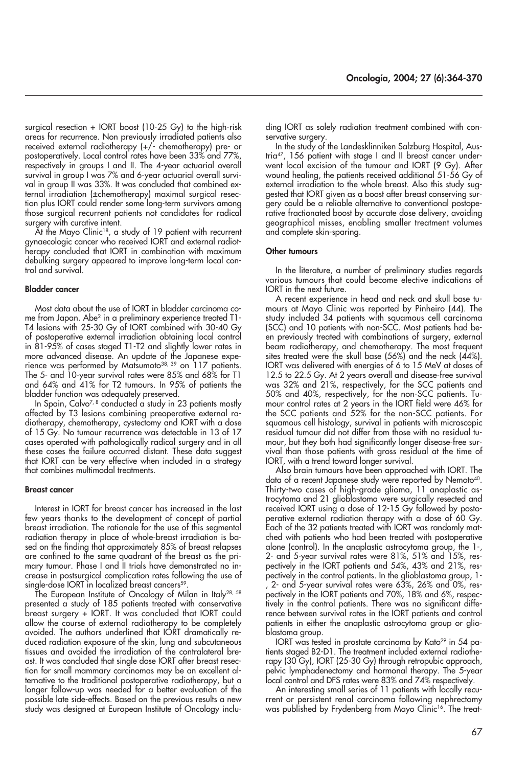surgical resection + IORT boost (10-25 Gy) to the high-risk areas for recurrence. Non previously irradiated patients also received external radiotherapy (+/- chemotherapy) pre- or postoperatively. Local control rates have been 33% and 77%, respectively in groups I and II. The 4-year actuarial overall survival in group I was 7% and 6-year actuarial overall survival in group II was 33%. It was concluded that combined external irradiation (±chemotherapy) maximal surgical resection plus IORT could render some long-term survivors among those surgical recurrent patients not candidates for radical surgery with curative intent.

 $\tilde{A}$ t the Mayo Clinic<sup>18</sup>, a study of 19 patient with recurrent gynaecologic cancer who received IORT and external radiotherapy concluded that IORT in combination with maximum debulking surgery appeared to improve long-term local control and survival.

#### **Bladder cancer**

Most data about the use of IORT in bladder carcinoma come from Japan. Abe<sup>2</sup> in a preliminary experience treated T1-T4 lesions with 25-30 Gy of IORT combined with 30-40 Gy of postoperative external irradiation obtaining local control in 81-95% of cases staged T1-T2 and slightly lower rates in more advanced disease. An update of the Japanese experience was performed by Matsumoto<sup>38, 39</sup> on 117 patients. The 5- and 10-year survival rates were 85% and 68% for T1 and 64% and 41% for T2 tumours. In 95% of patients the bladder function was adequately preserved.

In Spain, Calvo $^{7,8}$  conducted a study in 23 patients mostly affected by T3 lesions combining preoperative external radiotherapy, chemotherapy, cystectomy and IORT with a dose of 15 Gy. No tumour recurrence was detectable in 13 of 17 cases operated with pathologically radical surgery and in all these cases the failure occurred distant. These data suggest that IORT can be very effective when included in a strategy that combines multimodal treatments.

#### **Breast cancer**

Interest in IORT for breast cancer has increased in the last few years thanks to the development of concept of partial breast irradiation. The rationale for the use of this segmental radiation therapy in place of whole-breast irradiation is based on the finding that approximately 85% of breast relapses are confined to the same quadrant of the breast as the primary tumour. Phase I and II trials have demonstrated no increase in postsurgical complication rates following the use of single-dose IORT in localized breast cancers<sup>59</sup>.

The European Institute of Oncology of Milan in Italy28, 58 presented a study of 185 patients treated with conservative breast surgery + IORT. It was concluded that IORT could allow the course of external radiotherapy to be completely avoided. The authors underlined that IORT dramatically reduced radiation exposure of the skin, lung and subcutaneous tissues and avoided the irradiation of the contralateral breast. It was concluded that single dose IORT after breast resection for small mammary carcinomas may be an excellent alternative to the traditional postoperative radiotherapy, but a longer follow-up was needed for a better evaluation of the possible late side-effects. Based on the previous results a new study was designed at European Institute of Oncology including IORT as solely radiation treatment combined with conservative surgery

In the study of the Landesklinniken Salzburg Hospital, Austria<sup>47</sup>, 156 patient with stage I and II breast cancer underwent local excision of the tumour and IORT (9 Gy). After wound healing, the patients received additional 51-56 Gy of external irradiation to the whole breast. Also this study suggested that IORT given as a boost after breast conserving surgery could be a reliable alternative to conventional postoperative fractionated boost by accurate dose delivery, avoiding geographical misses, enabling smaller treatment volumes and complete skin-sparing.

#### **Other tumours**

In the literature, a number of preliminary studies regards various tumours that could become elective indications of IORT in the next future.

A recent experience in head and neck and skull base tumours at Mayo Clinic was reported by Pinheiro (44). The study included 34 patients with squamous cell carcinoma (SCC) and 10 patients with non-SCC. Most patients had been previously treated with combinations of surgery, external beam radiotherapy, and chemotherapy. The most frequent sites treated were the skull base  $(56\%)$  and the neck  $(44\%)$ . IORT was delivered with energies of 6 to 15 MeV at doses of 12.5 to 22.5 Gy. At 2 years overall and disease-free survival was 32% and 21%, respectively, for the SCC patients and 50% and 40%, respectively, for the non-SCC patients. Tumour control rates at 2 years in the IORT field were 46% for the SCC patients and 52% for the non-SCC patients. For squamous cell histology, survival in patients with microscopic residual tumour did not differ from those with no residual tumour, but they both had significantly longer disease-free survival than those patients with gross residual at the time of IORT, with a trend toward longer survival.

Also brain tumours have been approached with IORT. The data of a recent Japanese study were reported by Nemoto<sup>40</sup>. Thirty-two cases of high-grade glioma, 11 anaplastic astrocytoma and 21 glioblastoma were surgically resected and received IORT using a dose of 12-15 Gy followed by postoperative external radiation therapy with a dose of 60 Gy. Each of the 32 patients treated with IORT was randomly matched with patients who had been treated with postoperative alone (control). In the anaplastic astrocytoma group, the 1-, 2- and 5-year survival rates were 81%, 51% and 15%, respectively in the IORT patients and 54%, 43% and 21%, respectively in the control patients. In the glioblastoma group, 1- , 2- and 5-year survival rates were 63%, 26% and 0%, respectively in the IORT patients and 70%, 18% and 6%, respectively in the control patients. There was no significant difference between survival rates in the IORT patients and control patients in either the anaplastic astrocytoma group or glioblastoma group.

IORT was tested in prostate carcinoma by Kato<sup>29</sup> in 54 patients staged B2-D1. The treatment included external radiotherapy (30 Gy), IORT (25-30 Gy) through retropubic approach, pelvic lymphadenectomy and hormonal therapy. The 5-year local control and DFS rates were 83% and 74% respectively.

An interesting small series of 11 patients with locally recurrent or persistent renal carcinoma following nephrectomy was published by Frydenberg from Mayo Clinic<sup>16</sup>. The treat-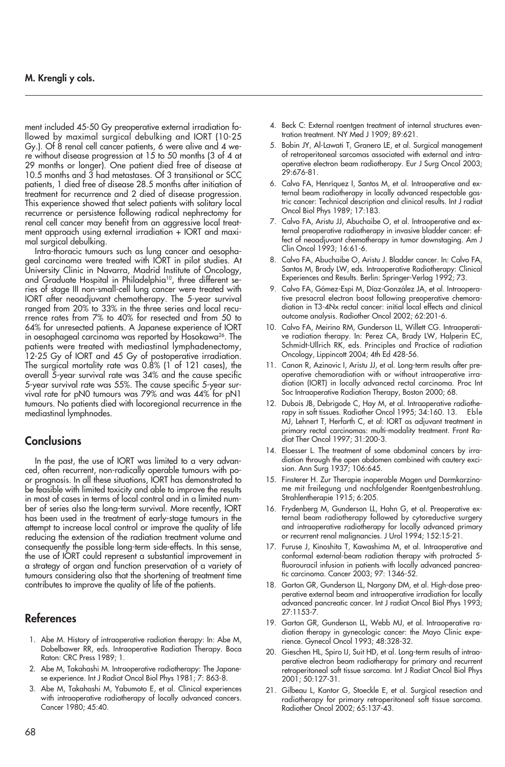## **M. Krengli y cols.**

ment included 45-50 Gy preoperative external irradiation followed by maximal surgical debulking and IORT (10-25 Gy.). Of 8 renal cell cancer patients, 6 were alive and 4 were without disease progression at 15 to 50 months (3 of 4 at 29 months or longer). One patient died free of disease at 10.5 months and 3 had metastases. Of 3 transitional or SCC patients, 1 died free of disease 28.5 months after initiation of treatment for recurrence and 2 died of disease progression. This experience showed that select patients with solitary local recurrence or persistence following radical nephrectomy for renal cell cancer may benefit from an aggressive local treatment approach using external irradiation + IORT and maximal surgical debulking.

Intra-thoracic tumours such as lung cancer and oesophageal carcinoma were treated with IORT in pilot studies. At University Clinic in Navarra, Madrid Institute of Oncology, and Graduate Hospital in Philadelphia<sup>10</sup>, three different series of stage III non-small-cell lung cancer were treated with IORT after neoadjuvant chemotherapy. The 5-year survival ranged from 20% to 33% in the three series and local recurrence rates from 7% to 40% for resected and from 50 to 64% for unresected patients. A Japanese experience of IORT in oesophageal carcinoma was reported by Hosokawa<sup>26</sup>. The patients were treated with mediastinal lymphadenectomy, 12-25 Gy of IORT and 45 Gy of postoperative irradiation. The surgical mortality rate was 0.8% (1 of 121 cases), the overall 5-year survival rate was 34% and the cause specific 5-year survival rate was 55%. The cause specific 5-year survival rate for pN0 tumours was 79% and was 44% for pN1 tumours. No patients died with locoregional recurrence in the mediastinal lymphnodes.

# **Conclusions**

In the past, the use of IORT was limited to a very advanced, often recurrent, non-radically operable tumours with poor prognosis. In all these situations, IORT has demonstrated to be feasible with limited toxicity and able to improve the results in most of cases in terms of local control and in a limited number of series also the long-term survival. More recently, IORT has been used in the treatment of early-stage tumours in the attempt to increase local control or improve the quality of life reducing the extension of the radiation treatment volume and consequently the possible long-term side-effects. In this sense, the use of IORT could represent a substantial improvement in a strategy of organ and function preservation of a variety of tumours considering also that the shortening of treatment time contributes to improve the quality of life of the patients.

# **References**

- 1. Abe M. History of intraoperative radiation therapy: In: Abe M, Dobelbawer RR, eds. Intraoperative Radiation Therapy. Boca Raton: CRC Press 1989; 1.
- 2. Abe M, Takahashi M. Intraoperative radiotherapy: The Japanese experience. Int J Radiat Oncol Biol Phys 1981; 7: 863-8.
- 3. Abe M, Takahashi M, Yabumoto E, et al. Clinical experiences with intraoperative radiotherapy of locally advanced cancers. Cancer 1980; 45:40.
- 4. Beck C: External roentgen treatment of internal structures eventration treatment. NY Med J 1909; 89:621.
- 5. Bobin JY, Al-Lawati T, Granero LE, et al. Surgical management of retroperitoneal sarcomas associated with external and intraoperative electron beam radiotherapy. Eur J Surg Oncol 2003; 29:676-81.
- 6. Calvo FA, Henríquez I, Santos M, et al. Intraoperative and external beam radiotherapy in locally advanced respectable gastric cancer: Technical description and clinical results. Int J radiat Oncol Biol Phys 1989; 17:183.
- 7. Calvo FA, Aristu JJ, Abuchaibe O, et al. Intraoperative and external preoperative radiotherapy in invasive bladder cancer: effect of neoadjuvant chemotherapy in tumor downstaging. Am J Clin Oncol 1993; 16:61-6.
- 8. Calvo FA, Abuchaibe O, Aristu J. Bladder cancer. In: Calvo FA, Santos M, Brady LW, eds. Intraoperative Radiotherapy: Clinical Experiences and Results. Berlin: Springer-Verlag 1992; 73.
- 9. Calvo FA, Gómez-Espi M, Díaz-González JA, et al. Intraoperative presacral electron boost following preoperative chemoradiation in T3-4Nx rectal cancer: initial local effects and clinical outcome analysis. Radiother Oncol 2002; 62:201-6.
- 10. Calvo FA, Meirino RM, Gunderson LL, Willett CG. Intraoperative radiation therapy. In: Perez CA, Brady LW, Halperin EC, Schmidt-Ullrich RK, eds. Principles and Practice of radiation Oncology, Lippincott 2004; 4th Ed 428-56.
- 11. Canon R, Azinovic I, Aristu JJ, et al. Long-term results after preoperative chemoradiation with or without intraoperative irradiation (IORT) in locally advanced rectal carcinoma. Proc Int Soc Intraoperative Radiation Therapy, Boston 2000; 68.
- 12. Dubois JB, Debrigode C, Hay M, et al. Intraoperative radiotherapy in soft tissues. Radiother Oncol 1995; 34:160. 13. Eble MJ, Lehnert T, Herfarth C, et al: IORT as adjuvant treatment in primary rectal carcinomas: multi-modality treatment. Front Radiat Ther Oncol 1997; 31:200-3.
- 14. Eloesser L. The treatment of some abdominal cancers by irradiation through the open abdomen combined with cautery excision. Ann Surg 1937; 106:645.
- 15. Finsterer H. Zur Therapie inoperable Magen und Dormkarzinome mit freilegung und nachfolgender Roentgenbestrahlung. Strahlentherapie 1915; 6:205.
- 16. Frydenberg M, Gunderson LL, Hahn G, et al. Preoperative external beam radiotherapy followed by cytoreductive surgery and intraoperative radiotherapy for locally advanced primary or recurrent renal malignancies. J Urol 1994; 152:15-21.
- 17. Furuse J, Kinoshita T, Kawashima M, et al. Intraoperative and conformal external-beam radiation therapy with protracted 5 fluorouracil infusion in patients with locally advanced pancreatic carcinoma. Cancer 2003; 97: 1346-52.
- 18. Garton GR, Gunderson LL, Nargony DM, et al. High-dose preoperative external beam and intraoperative irradiation for locally advanced pancreatic cancer. Int J radiat Oncol Biol Phys 1993; 27:1153-7.
- 19. Garton GR, Gunderson LL, Webb MJ, et al. Intraoperative radiation therapy in gynecologic cancer: the Mayo Clinic experience. Gynecol Oncol 1993; 48:328-32.
- 20. Gieschen HL, Spiro IJ, Suit HD, et al. Long-term results of intraoperative electron beam radiotherapy for primary and recurrent retroperitoneal soft tissue sarcoma. Int J Radiat Oncol Biol Phys 2001; 50:127-31.
- 21. Gilbeau L, Kantor G, Stoeckle E, et al. Surgical resection and radiotherapy for primary retroperitoneal soft tissue sarcoma. Radiother Oncol 2002; 65:137-43.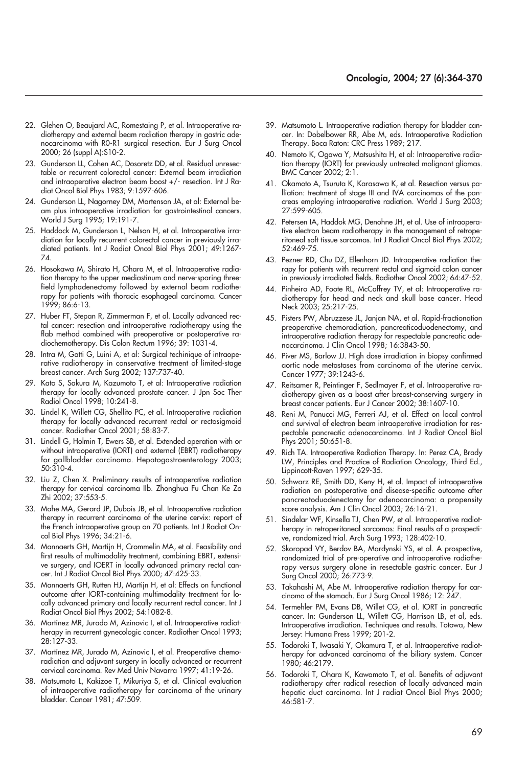- 22. Glehen O, Beaujard AC, Romestaing P, et al. Intraoperative radiotherapy and external beam radiation therapy in gastric adenocarcinoma with R0-R1 surgical resection. Eur J Surg Oncol 2000; 26 (suppl A):S10-2.
- 23. Gunderson LL, Cohen AC, Dosoretz DD, et al. Residual unresectable or recurrent colorectal cancer: External beam irradiation and intraoperative electron beam boost +/- resection. Int J Radiat Oncol Biol Phys 1983; 9:1597-606.
- 24. Gunderson LL, Nagorney DM, Martenson JA, et al: External beam plus intraoperative irradiation for gastrointestinal cancers. World J Surg 1995; 19:191-7.
- 25. Haddock M, Gunderson L, Nelson H, et al. Intraoperative irradiation for locally recurrent colorectal cancer in previously irradiated patients. Int J Radiat Oncol Biol Phys 2001; 49:1267- 74.
- 26. Hosokawa M, Shirato H, Ohara M, et al. Intraoperative radiation therapy to the upper mediastinum and nerve-sparing threefield lymphadenectomy followed by external beam radiotherapy for patients with thoracic esophageal carcinoma. Cancer 1999; 86:6-13.
- 27. Huber FT, Stepan R, Zimmerman F, et al. Locally advanced rectal cancer: resection and intraoperative radiotherapy using the flab method combined with preoperative or postoperative radiochemotherapy. Dis Colon Rectum 1996; 39: 1031-4.
- 28. Intra M, Gatti G, Luini A, et al: Surgical techinique of intraoperative radiotherapy in conservative treatment of limited-stage breast cancer. Arch Surg 2002; 137:737-40.
- 29. Kato S, Sakura M, Kazumoto T, et al: Intraoperative radiation therapy for locally advanced prostate cancer. J Jpn Soc Ther Radiol Oncol 1998; 10:241-8.
- 30. Lindel K, Willett CG, Shellito PC, et al. Intraoperative radiation therapy for locally advanced recurrent rectal or rectosigmoid cancer. Radiother Oncol 2001; 58:83-7.
- 31. Lindell G, Holmin T, Ewers SB, et al. Extended operation with or without intraoperative (IORT) and external (EBRT) radiotherapy for gallbladder carcinoma. Hepatogastroenterology 2003; 50:310-4.
- 32. Liu Z, Chen X. Preliminary results of intraoperative radiation therapy for cervical carcinoma IIb. Zhonghua Fu Chan Ke Za Zhi 2002; 37:553-5.
- 33. Mahe MA, Gerard JP, Dubois JB, et al. Intraoperative radiation therapy in recurrent carcinoma of the uterine cervix: report of the French intraoperative group on 70 patients. Int J Radiat Oncol Biol Phys 1996; 34:21-6.
- 34. Mannaerts GH, Martijn H, Crommelin MA, et al. Feasibility and first results of multimodality treatment, combining EBRT, extensive surgery, and IOERT in locally advanced primary rectal cancer. Int J Radiat Oncol Biol Phys 2000; 47:425-33.
- 35. Mannaerts GH, Rutten HJ, Martijn H, et al: Effects on functional outcome after IORT-containing multimodality treatment for locally advanced primary and locally recurrent rectal cancer. Int J Radiat Oncol Biol Phys 2002; 54:1082-8.
- 36. Martínez MR, Jurado M, Azinovic I, et al. Intraoperative radiotherapy in recurrent gynecologic cancer. Radiother Oncol 1993; 28:127-33.
- 37. Martínez MR, Jurado M, Azinovic I, et al. Preoperative chemoradiation and adjuvant surgery in locally advanced or recurrent cervical carcinoma. Rev Med Univ Navarra 1997; 41:19-26.
- 38. Matsumoto L, Kakizoe T, Mikuriya S, et al. Clinical evaluation of intraoperative radiotherapy for carcinoma of the urinary bladder. Cancer 1981; 47:509.
- 39. Matsumoto L. Intraoperative radiation therapy for bladder cancer. In: Dobelbower RR, Abe M, eds. Intraoperative Radiation Therapy. Boca Raton: CRC Press 1989; 217.
- 40. Nemoto K, Ogawa Y, Matsushita H, et al: Intraoperative radiation therapy (IORT) for previously untreated malignant gliomas. BMC Cancer 2002; 2:1.
- 41. Okamoto A, Tsuruta K, Karasawa K, et al. Resection versus palliation: treatment of stage III and IVA carcinomas of the pancreas employing intraoperative radiation. World J Surg 2003; 27:599-605.
- 42. Petersen IA, Haddok MG, Denohne JH, et al. Use of intraoperative electron beam radiotherapy in the management of retroperitoneal soft tissue sarcomas. Int J Radiat Oncol Biol Phys 2002; 52:469-75.
- 43. Pezner RD, Chu DZ, Ellenhorn JD. Intraoperative radiation therapy for patients with recurrent rectal and sigmoid colon cancer in previously irradiated fields. Radiother Oncol 2002; 64:47-52.
- 44. Pinheiro AD, Foote RL, McCaffrey TV, et al: Intraoperative radiotherapy for head and neck and skull base cancer. Head Neck 2003; 25:217-25.
- 45. Pisters PW, Abruzzese JL, Janjan NA, et al. Rapid-fractionation preoperative chemoradiation, pancreaticoduodenectomy, and intraoperative radiation therapy for respectable pancreatic adenocarcinoma. J Clin Oncol 1998; 16:3843-50.
- 46. Piver MS, Barlow JJ. High dose irradiation in biopsy confirmed aortic node metastases from carcinoma of the uterine cervix. Cancer 1977; 39:1243-6.
- 47. Reitsamer R, Peintinger F, Sedlmayer F, et al. Intraoperative radiotherapy given as a boost after breast-conserving surgery in breast cancer patients. Eur J Cancer 2002; 38:1607-10.
- 48. Reni M, Panucci MG, Ferreri AJ, et al. Effect on local control and survival of electron beam intraoperative irradiation for respectable pancreatic adenocarcinoma. Int J Radiat Oncol Biol Phys 2001; 50:651-8.
- 49. Rich TA. Intraoperative Radiation Therapy. In: Perez CA, Brady LW, Principles and Practice of Radiation Oncology, Third Ed., Lippincott-Raven 1997; 629-35.
- 50. Schwarz RE, Smith DD, Keny H, et al. Impact of intraoperative radiation on postoperative and disease-specific outcome after pancreatoduodenectomy for adenocarcinoma: a propensity score analysis. Am J Clin Oncol 2003; 26:16-21.
- 51. Sindelar WF, Kinsella TJ, Chen PW, et al. Intraoperative radiotherapy in retroperitoneal sarcomas: Final results of a prospective, randomized trial. Arch Surg 1993; 128:402-10.
- 52. Skoropad VY, Berdov BA, Mardynski YS, et al. A prospective, randomized trial of pre-operative and intraoperative radiotherapy versus surgery alone in resectable gastric cancer. Eur J Surg Oncol 2000; 26:773-9.
- 53. Takahashi M, Abe M. Intraoperative radiation therapy for carcinoma of the stomach. Eur J Surg Oncol 1986; 12: 247.
- 54. Termehler PM, Evans DB, Willet CG, et al. IORT in pancreatic cancer. In: Gunderson LL, Willett CG, Harrison LB, et al, eds. Intraoperative irradiation. Techniques and results. Totowa, New Jersey: Humana Press 1999; 201-2.
- 55. Todoroki T, Iwasaki Y, Okamura T, et al. Intraoperative radiotherapy for advanced carcinoma of the biliary system. Cancer 1980; 46:2179.
- 56. Todoroki T, Ohara K, Kawamoto T, et al. Benefits of adjuvant radiotherapy after radical resection of locally advanced main hepatic duct carcinoma. Int J radiat Oncol Biol Phys 2000; 46:581-7.